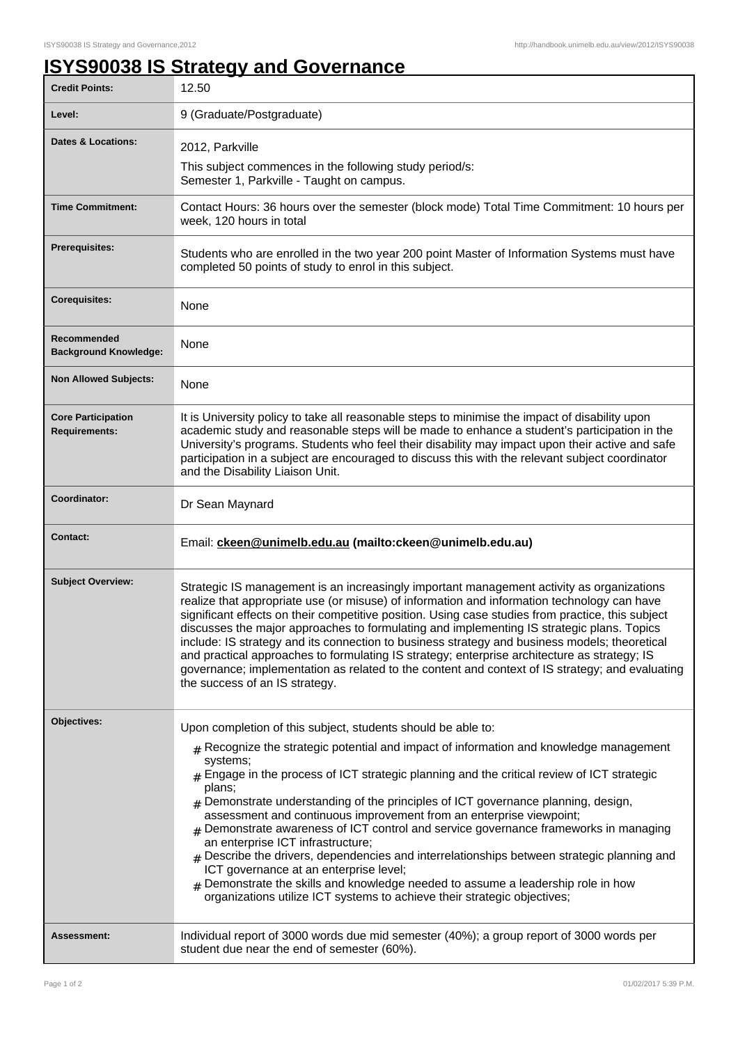## **ISYS90038 IS Strategy and Governance**

| <b>Credit Points:</b>                             | 12.50                                                                                                                                                                                                                                                                                                                                                                                                                                                                                                                                                                                                                                                                                                                                                                                                                                                                                                     |
|---------------------------------------------------|-----------------------------------------------------------------------------------------------------------------------------------------------------------------------------------------------------------------------------------------------------------------------------------------------------------------------------------------------------------------------------------------------------------------------------------------------------------------------------------------------------------------------------------------------------------------------------------------------------------------------------------------------------------------------------------------------------------------------------------------------------------------------------------------------------------------------------------------------------------------------------------------------------------|
| Level:                                            | 9 (Graduate/Postgraduate)                                                                                                                                                                                                                                                                                                                                                                                                                                                                                                                                                                                                                                                                                                                                                                                                                                                                                 |
| <b>Dates &amp; Locations:</b>                     | 2012, Parkville<br>This subject commences in the following study period/s:<br>Semester 1, Parkville - Taught on campus.                                                                                                                                                                                                                                                                                                                                                                                                                                                                                                                                                                                                                                                                                                                                                                                   |
| <b>Time Commitment:</b>                           | Contact Hours: 36 hours over the semester (block mode) Total Time Commitment: 10 hours per<br>week, 120 hours in total                                                                                                                                                                                                                                                                                                                                                                                                                                                                                                                                                                                                                                                                                                                                                                                    |
| Prerequisites:                                    | Students who are enrolled in the two year 200 point Master of Information Systems must have<br>completed 50 points of study to enrol in this subject.                                                                                                                                                                                                                                                                                                                                                                                                                                                                                                                                                                                                                                                                                                                                                     |
| <b>Corequisites:</b>                              | None                                                                                                                                                                                                                                                                                                                                                                                                                                                                                                                                                                                                                                                                                                                                                                                                                                                                                                      |
| Recommended<br><b>Background Knowledge:</b>       | None                                                                                                                                                                                                                                                                                                                                                                                                                                                                                                                                                                                                                                                                                                                                                                                                                                                                                                      |
| <b>Non Allowed Subjects:</b>                      | None                                                                                                                                                                                                                                                                                                                                                                                                                                                                                                                                                                                                                                                                                                                                                                                                                                                                                                      |
| <b>Core Participation</b><br><b>Requirements:</b> | It is University policy to take all reasonable steps to minimise the impact of disability upon<br>academic study and reasonable steps will be made to enhance a student's participation in the<br>University's programs. Students who feel their disability may impact upon their active and safe<br>participation in a subject are encouraged to discuss this with the relevant subject coordinator<br>and the Disability Liaison Unit.                                                                                                                                                                                                                                                                                                                                                                                                                                                                  |
| Coordinator:                                      | Dr Sean Maynard                                                                                                                                                                                                                                                                                                                                                                                                                                                                                                                                                                                                                                                                                                                                                                                                                                                                                           |
| <b>Contact:</b>                                   |                                                                                                                                                                                                                                                                                                                                                                                                                                                                                                                                                                                                                                                                                                                                                                                                                                                                                                           |
|                                                   | Email: ckeen@unimelb.edu.au (mailto:ckeen@unimelb.edu.au)                                                                                                                                                                                                                                                                                                                                                                                                                                                                                                                                                                                                                                                                                                                                                                                                                                                 |
| <b>Subject Overview:</b>                          | Strategic IS management is an increasingly important management activity as organizations<br>realize that appropriate use (or misuse) of information and information technology can have<br>significant effects on their competitive position. Using case studies from practice, this subject<br>discusses the major approaches to formulating and implementing IS strategic plans. Topics<br>include: IS strategy and its connection to business strategy and business models; theoretical<br>and practical approaches to formulating IS strategy; enterprise architecture as strategy; IS<br>governance; implementation as related to the content and context of IS strategy; and evaluating<br>the success of an IS strategy.                                                                                                                                                                          |
| Objectives:                                       | Upon completion of this subject, students should be able to:<br>$#$ Recognize the strategic potential and impact of information and knowledge management<br>systems;<br>$#$ Engage in the process of ICT strategic planning and the critical review of ICT strategic<br>plans;<br>$_{\text{\#}}$ Demonstrate understanding of the principles of ICT governance planning, design,<br>assessment and continuous improvement from an enterprise viewpoint;<br>Demonstrate awareness of ICT control and service governance frameworks in managing<br>an enterprise ICT infrastructure;<br>$_{\#}$ Describe the drivers, dependencies and interrelationships between strategic planning and<br>ICT governance at an enterprise level;<br>$_{\rm #}$ Demonstrate the skills and knowledge needed to assume a leadership role in how<br>organizations utilize ICT systems to achieve their strategic objectives; |